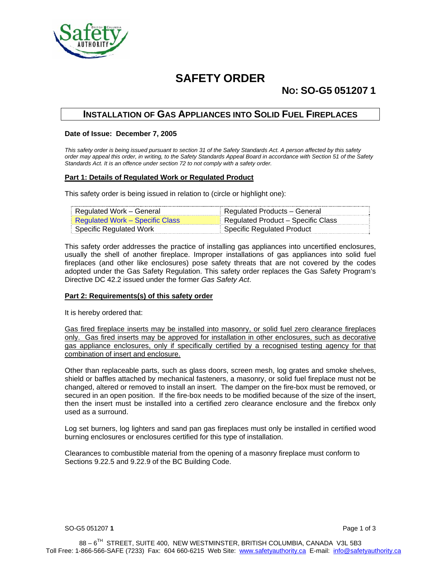

# **SAFETY ORDER**

## **NO: SO-G5 051207 1**

### **INSTALLATION OF GAS APPLIANCES INTO SOLID FUEL FIREPLACES**

#### **Date of Issue: December 7, 2005**

*This safety order is being issued pursuant to section 31 of the Safety Standards Act. A person affected by this safety order may appeal this order, in writing, to the Safety Standards Appeal Board in accordance with Section 51 of the Safety Standards Act. It is an offence under section 72 to not comply with a safety order.* 

#### **Part 1: Details of Regulated Work or Regulated Product**

This safety order is being issued in relation to (circle or highlight one):

| Regulated Work – General        | ⊧ Regulated Products – General     |
|---------------------------------|------------------------------------|
| Regulated Work – Specific Class | Regulated Product – Specific Class |
| Specific Regulated Work         | <b>Specific Regulated Product</b>  |

This safety order addresses the practice of installing gas appliances into uncertified enclosures, usually the shell of another fireplace. Improper installations of gas appliances into solid fuel fireplaces (and other like enclosures) pose safety threats that are not covered by the codes adopted under the Gas Safety Regulation. This safety order replaces the Gas Safety Program's Directive DC 42.2 issued under the former *Gas Safety Act*.

#### **Part 2: Requirements(s) of this safety order**

It is hereby ordered that:

Gas fired fireplace inserts may be installed into masonry, or solid fuel zero clearance fireplaces only. Gas fired inserts may be approved for installation in other enclosures, such as decorative gas appliance enclosures, only if specifically certified by a recognised testing agency for that combination of insert and enclosure.

Other than replaceable parts, such as glass doors, screen mesh, log grates and smoke shelves, shield or baffles attached by mechanical fasteners, a masonry, or solid fuel fireplace must not be changed, altered or removed to install an insert. The damper on the fire-box must be removed, or secured in an open position. If the fire-box needs to be modified because of the size of the insert, then the insert must be installed into a certified zero clearance enclosure and the firebox only used as a surround.

Log set burners, log lighters and sand pan gas fireplaces must only be installed in certified wood burning enclosures or enclosures certified for this type of installation.

Clearances to combustible material from the opening of a masonry fireplace must conform to Sections 9.22.5 and 9.22.9 of the BC Building Code.

SO-G5 051207 **1** Page 1 of 3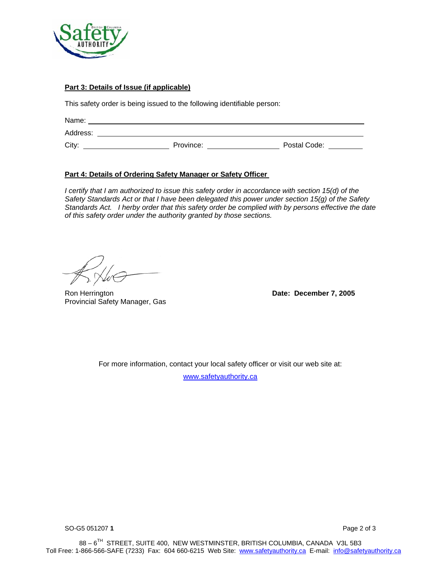

### **Part 3: Details of Issue (if applicable)**

This safety order is being issued to the following identifiable person:

| Name:    |           |              |
|----------|-----------|--------------|
| Address: |           |              |
| City:    | Province: | Postal Code: |

#### **Part 4: Details of Ordering Safety Manager or Safety Officer**

*I* certify that I am authorized to issue this safety order in accordance with section 15(d) of the *Safety Standards Act or that I have been delegated this power under section 15(g) of the Safety Standards Act. I herby order that this safety order be complied with by persons effective the date of this safety order under the authority granted by those sections.* 

Ron Herrington **Date: December 7, 2005**  Provincial Safety Manager, Gas

For more information, contact your local safety officer or visit our web site at:

www.safetyauthority.ca

SO-G5 051207 **1** Page 2 of 3